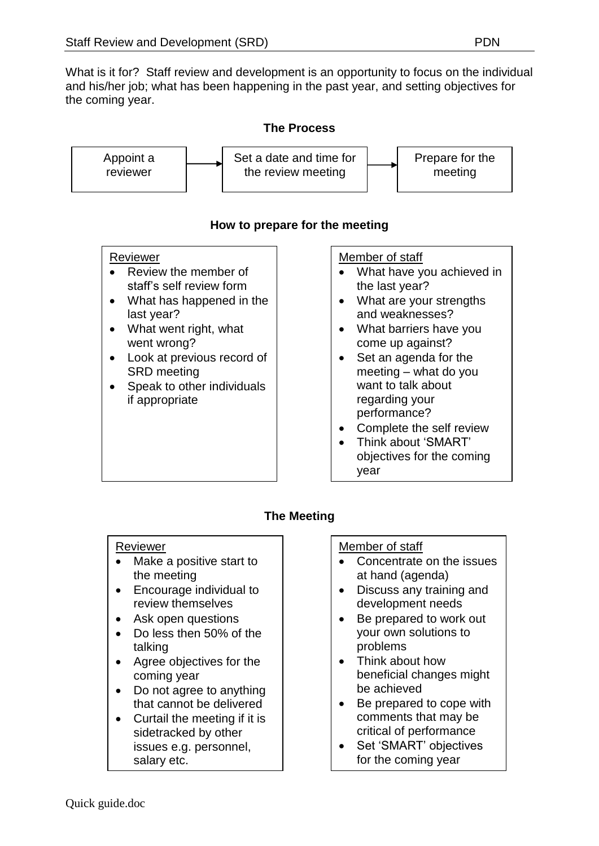What is it for? Staff review and development is an opportunity to focus on the individual and his/her job; what has been happening in the past year, and setting objectives for the coming year.

## **The Process**



# **How to prepare for the meeting**

### Reviewer

- Review the member of staff's self review form
- What has happened in the last year?
- What went right, what went wrong?
- Look at previous record of SRD meeting
- Speak to other individuals if appropriate

### Member of staff

- What have you achieved in the last year?
- What are your strengths and weaknesses?
- What barriers have you come up against?
- Set an agenda for the meeting – what do you want to talk about regarding your performance?
- Complete the self review
- Think about 'SMART' objectives for the coming year

# **The Meeting**

### Reviewer

- Make a positive start to the meeting
- Encourage individual to review themselves
- Ask open questions
- Do less then 50% of the talking
- Agree objectives for the coming year
- Do not agree to anything that cannot be delivered
- Curtail the meeting if it is sidetracked by other issues e.g. personnel, salary etc.

# Member of staff

- Concentrate on the issues at hand (agenda)
- Discuss any training and development needs
- Be prepared to work out your own solutions to problems
- Think about how beneficial changes might be achieved
- Be prepared to cope with comments that may be critical of performance
- Set 'SMART' objectives for the coming year